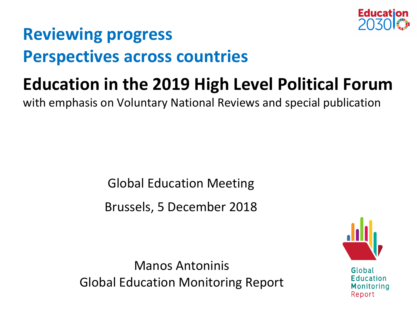

### **Reviewing progress Perspectives across countries**

# **Education in the 2019 High Level Political Forum**

with emphasis on Voluntary National Reviews and special publication

Global Education Meeting

Brussels, 5 December 2018

Manos Antoninis Global Education Monitoring Report

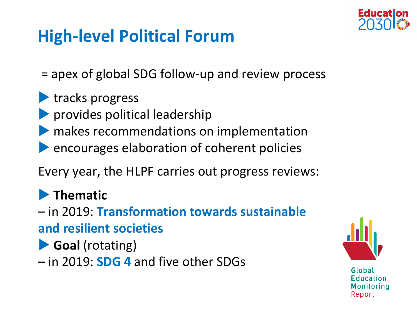

#### **High-level Political Forum**

= apex of global SDG follow-up and review process

#### **tracks progress**

- **Provides political leadership**
- makes recommendations on implementation
- **Pencourages elaboration of coherent policies**

Every year, the HLPF carries out progress reviews:

#### **Thematic**

– in 2019: **Transformation towards sustainable and resilient societies**

**Goal** (rotating)

– in 2019: **SDG 4** and five other SDGs

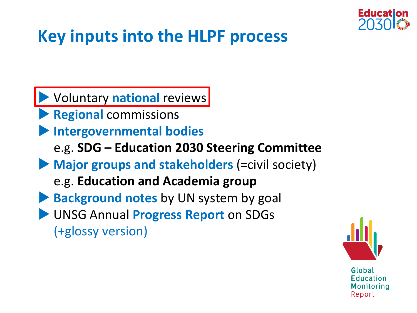

#### **Key inputs into the HLPF process**

 Voluntary **national** reviews **Regional** commissions **Intergovernmental bodies** e.g. **SDG – Education 2030 Steering Committee Major groups and stakeholders** (=civil society) e.g. **Education and Academia group Background notes** by UN system by goal UNSG Annual **Progress Report** on SDGs (+glossy version)

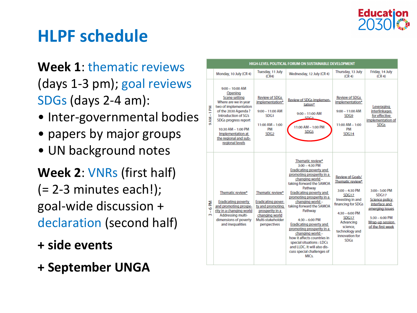

#### **HLPF schedule**

**Week 1**: thematic reviews (days 1-3 pm); goal reviews SDGs (days 2-4 am):

- Inter-governmental bodies
- papers by major groups
- UN background notes

**Week 2**: VNRs (first half)  $(= 2-3$  minutes each!); goal-wide discussion + declaration (second half)

- **+ side events**
- **+ September UNGA**

| HIGH-LEVEL POLITICAL FORUM ON SUSTAINABLE DEVELOPMENT |                                                                                                                                                                                                                                                              |                                                                                                                                             |                                                                                                                                                                                                                                                                                                                                                                                                                                                                                                                                |                                                                                                                                                                                                                             |                                                                                                                                                |  |  |
|-------------------------------------------------------|--------------------------------------------------------------------------------------------------------------------------------------------------------------------------------------------------------------------------------------------------------------|---------------------------------------------------------------------------------------------------------------------------------------------|--------------------------------------------------------------------------------------------------------------------------------------------------------------------------------------------------------------------------------------------------------------------------------------------------------------------------------------------------------------------------------------------------------------------------------------------------------------------------------------------------------------------------------|-----------------------------------------------------------------------------------------------------------------------------------------------------------------------------------------------------------------------------|------------------------------------------------------------------------------------------------------------------------------------------------|--|--|
|                                                       | Monday, 10 July (CR 4)                                                                                                                                                                                                                                       | Tuesday, 11 July<br>(CR4)                                                                                                                   | Wednesday, 12 July (CR 4)                                                                                                                                                                                                                                                                                                                                                                                                                                                                                                      | Thursday, 13 July<br>(CR <sub>4</sub> )                                                                                                                                                                                     | Friday, 14 July<br>(CR <sub>4</sub> )                                                                                                          |  |  |
| AM-1PM<br>ö                                           | $9:00 - 10:00$ AM<br>Opening<br>Scene setting<br>Where are we in year<br>two of implementation<br>of the 2030 Agenda?<br>Introduction of SG's<br>SDGs progress report<br>10:30 AM - 1:00 PM<br>Implementation at<br>the regional and sub-<br>regional levels | <b>Review of SDGs</b><br>implementation*<br>$9:00 - 11:00$ AM<br>SDG1<br>$11:00$ AM $- 1:00$<br>PM<br>SDG <sub>2</sub>                      | Review of SDGs implemen-<br>tation*<br>$9:00 - 11:00$ AM<br><b>SDC2</b><br>11:00 AM - 1:00 PM<br>SDG <sub>5</sub>                                                                                                                                                                                                                                                                                                                                                                                                              | <b>Review of SDGs</b><br>implementation*<br>$9:00 - 11:00$ AM<br>SDG9<br>$11:00 AM - 1:00$<br>PM<br>SDG14                                                                                                                   | Leveraging<br>interlinkages<br>for effective<br>implementation of<br><b>SDGs</b>                                                               |  |  |
| ₹<br>ō<br>$\mathbf{I}$<br>$\sim$                      | Thematic review*<br><b>Eradicating poverty</b><br>and promoting prospe-<br>rity in a changing world<br><b>Addressing multi-</b><br>dimensions of poverty<br>and inequalities                                                                                 | Thematic review*<br><b>Eradicating pover-</b><br>ty and promoting<br>prosperity in a<br>changing world<br>Multi-stakeholder<br>perspectives | Thematic review*<br>$3:00 - 4:30$ PM<br>Eradicating poverty and<br>promoting prosperity in a<br>changing world -<br>taking forward the SAMOA<br>Pathway<br><b>Eradicating poverty and</b><br>promoting prosperity in a<br>changing world -<br>taking forward the SAMOA<br>Pathway<br>$4:30 - 6:00$ PM<br>Eradicating poverty and<br>promoting prosperity in a<br>changing world -<br>how it affects countries in<br>special situations : LDCs<br>and LLDC. It will also dis-<br>cuss special challenges of<br>MIC <sub>s</sub> | Review of Goals/<br>Thematic review*<br>$3:00 - 4:30$ PM<br><b>SDG17</b><br>Investing in and<br>financing for SDGs<br>$4:30 - 6:00$ PM<br>SDG17<br>Advancing<br>science.<br>technology and<br>innovation for<br><b>SDGs</b> | 3:00-5:00 PM<br><b>SDG17</b><br>Science policy<br>interface and<br>emerging issues<br>$5:30 - 6:00$ PM<br>Wrap-up session<br>of the first week |  |  |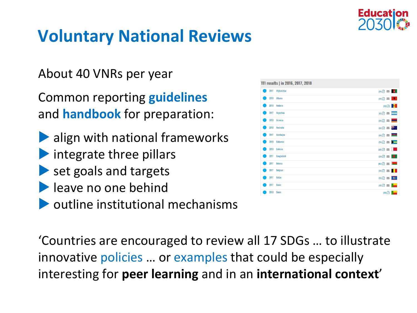

### **Voluntary National Reviews**

About 40 VNRs per year

Common reporting **guidelines** and **handbook** for preparation:

- **Align with national frameworks**  $\blacktriangleright$  integrate three pillars
- set goals and targets
- **leave no one behind**
- $\blacktriangleright$  outline institutional mechanisms

'Countries are encouraged to review all 17 SDGs … to illustrate innovative policies … or examples that could be especially interesting for **peer learning** and in an **international context**'

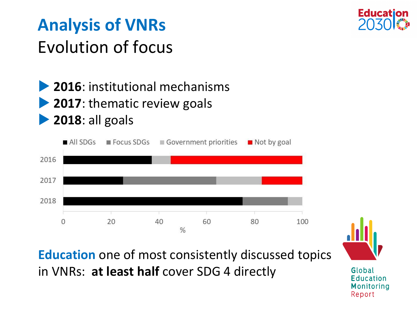

## **Analysis of VNRs** Evolution of focus

**2016**: institutional mechanisms

- **2017:** thematic review goals
- **2018**: all goals



**Education** one of most consistently discussed topics in VNRs: **at least half** cover SDG 4 directly

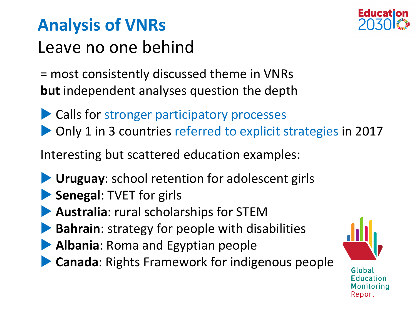

## **Analysis of VNRs** Leave no one behind

= most consistently discussed theme in VNRs **but** independent analyses question the depth

- ▶ Calls for stronger participatory processes
- ▶ Only 1 in 3 countries referred to explicit strategies in 2017

Interesting but scattered education examples:

- **Uruguay**: school retention for adolescent girls
- **Senegal: TVET for girls**
- **Australia**: rural scholarships for STEM
- **Bahrain**: strategy for people with disabilities
- **Albania**: Roma and Egyptian people
- **Canada**: Rights Framework for indigenous people

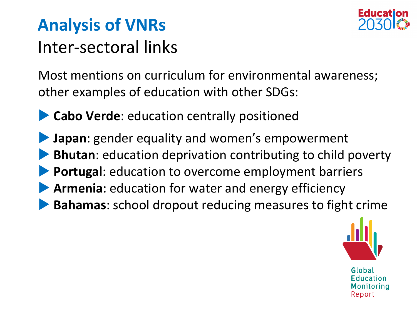

### **Analysis of VNRs** Inter-sectoral links

Most mentions on curriculum for environmental awareness; other examples of education with other SDGs:

- **Cabo Verde:** education centrally positioned
- **Japan**: gender equality and women's empowerment **Bhutan**: education deprivation contributing to child poverty **Portugal**: education to overcome employment barriers **Armenia**: education for water and energy efficiency **Bahamas**: school dropout reducing measures to fight crime

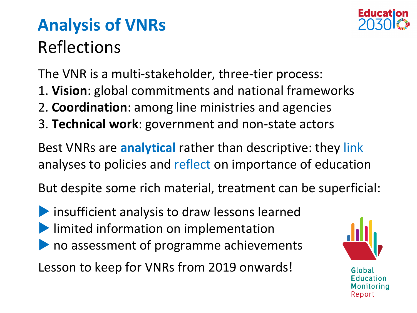

# **Analysis of VNRs** Reflections

The VNR is a multi-stakeholder, three-tier process:

- 1. **Vision**: global commitments and national frameworks
- 2. **Coordination**: among line ministries and agencies
- 3. **Technical work**: government and non-state actors

Best VNRs are **analytical** rather than descriptive: they link analyses to policies and reflect on importance of education

But despite some rich material, treatment can be superficial:

**Insufficient analysis to draw lessons learned I** limited information on implementation **If** no assessment of programme achievements

Lesson to keep for VNRs from 2019 onwards!

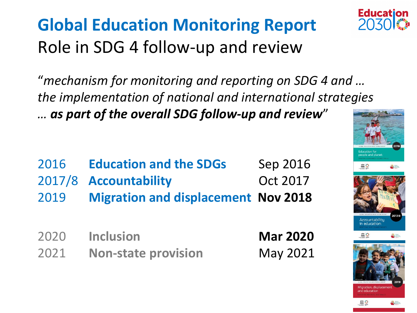# **Global Education Monitoring Report** Role in SDG 4 follow-up and review

"*mechanism for monitoring and reporting on SDG 4 and … the implementation of national and international strategies … as part of the overall SDG follow-up and review*"

| 2016 | <b>Education and the SDGs</b>              | Sep 2016 |
|------|--------------------------------------------|----------|
|      | 2017/8 Accountability                      | Oct 2017 |
| 2019 | <b>Migration and displacement Nov 2018</b> |          |

2020 **Inclusion Mar 2020** 2021 **Non-state provision** May 2021



**Education** 

2031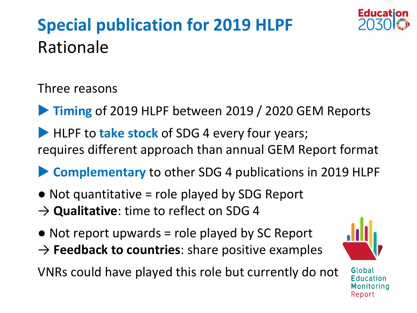# **Special publication for 2019 HLPF**  Rationale



Three reasons

**Timing** of 2019 HLPF between 2019 / 2020 GEM Reports

**HLPF to take stock** of SDG 4 every four years; requires different approach than annual GEM Report format

**Complementary** to other SDG 4 publications in 2019 HLPF

- $\bullet$  Not quantitative = role played by SDG Report
- **→ Qualitative**: time to reflect on SDG 4
- $\bullet$  Not report upwards = role played by SC Report → **Feedback to countries**: share positive examples

VNRs could have played this role but currently do not

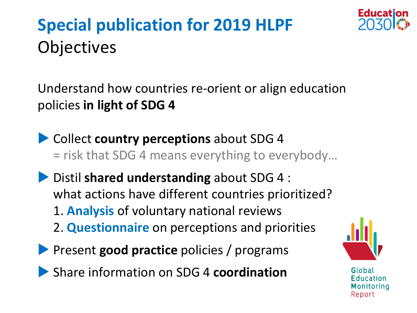

## **Special publication for 2019 HLPF Objectives**

Understand how countries re-orient or align education policies **in light of SDG 4**

- **Collect country perceptions** about SDG 4 = risk that SDG 4 means everything to everybody…
- **Distil shared understanding** about SDG 4 : what actions have different countries prioritized? 1. **Analysis** of voluntary national reviews 2. **Questionnaire** on perceptions and priorities
- **Present good practice policies / programs**
- Share information on SDG 4 **coordination**

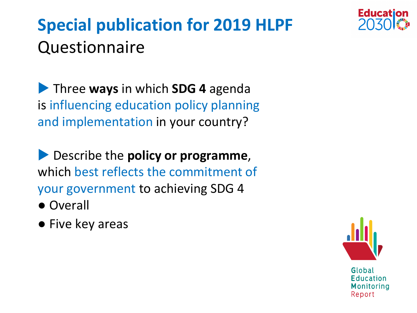

## **Special publication for 2019 HLPF**  Questionnaire

**Three ways** in which **SDG 4** agenda is influencing education policy planning and implementation in your country?

**Describe the policy or programme,** which best reflects the commitment of your government to achieving SDG 4

- Overall
- Five key areas

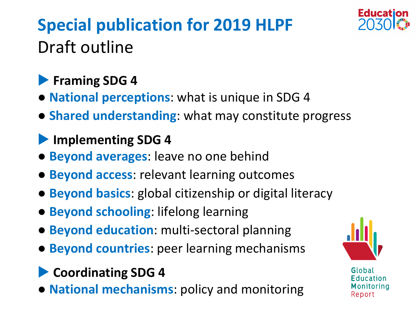

# **Special publication for 2019 HLPF**  Draft outline

#### **Framing SDG 4**

- **National perceptions**: what is unique in SDG 4
- **Shared understanding**: what may constitute progress

#### **Implementing SDG 4**

- **Beyond averages**: leave no one behind
- **Beyond access**: relevant learning outcomes
- **Beyond basics**: global citizenship or digital literacy
- **Beyond schooling**: lifelong learning
- **Beyond education**: multi-sectoral planning
- **Beyond countries**: peer learning mechanisms
- **Coordinating SDG 4**
- **National mechanisms**: policy and monitoring